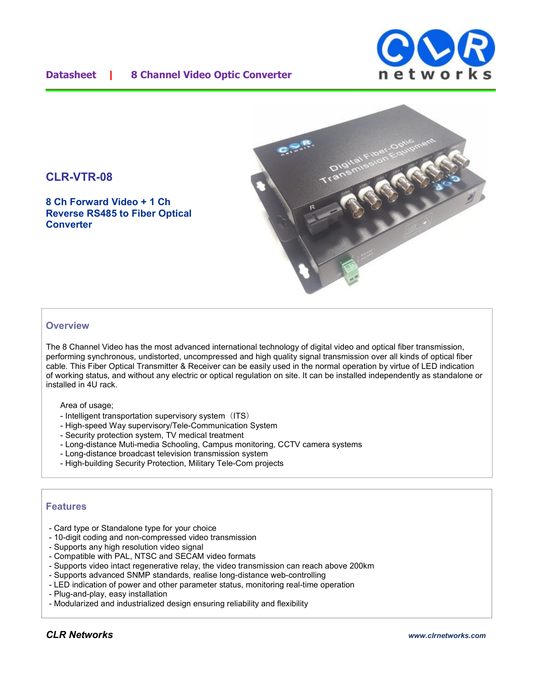### **Datasheet | 8 Channel Video Optic Converter**





## **CLR-VTR-08**

**8 Ch Forward Video + 1 Ch Reverse RS485 to Fiber Optical Converter**

#### **Overview**

The 8 Channel Video has the most advanced international technology of digital video and optical fiber transmission, performing synchronous, undistorted, uncompressed and high quality signal transmission over all kinds of optical fiber cable. This Fiber Optical Transmitter & Receiver can be easily used in the normal operation by virtue of LED indication of working status, and without any electric or optical regulation on site. It can be installed independently as standalone or installed in 4U rack.

Area of usage;

- Intelligent transportation supervisory system (ITS)
- High-speed Way supervisory/Tele-Communication System
- Security protection system, TV medical treatment
- Long-distance Muti-media Schooling, Campus monitoring, CCTV camera systems
- Long-distance broadcast television transmission system
- High-building Security Protection, Military Tele-Com projects

#### **Features**

- Card type or Standalone type for your choice
- 10-digit coding and non-compressed video transmission
- Supports any high resolution video signal
- Compatible with PAL, NTSC and SECAM video formats
- Supports video intact regenerative relay, the video transmission can reach above 200km
- Supports advanced SNMP standards, realise long-distance web-controlling
- LED indication of power and other parameter status, monitoring real-time operation
- Plug-and-play, easy installation
- Modularized and industrialized design ensuring reliability and flexibility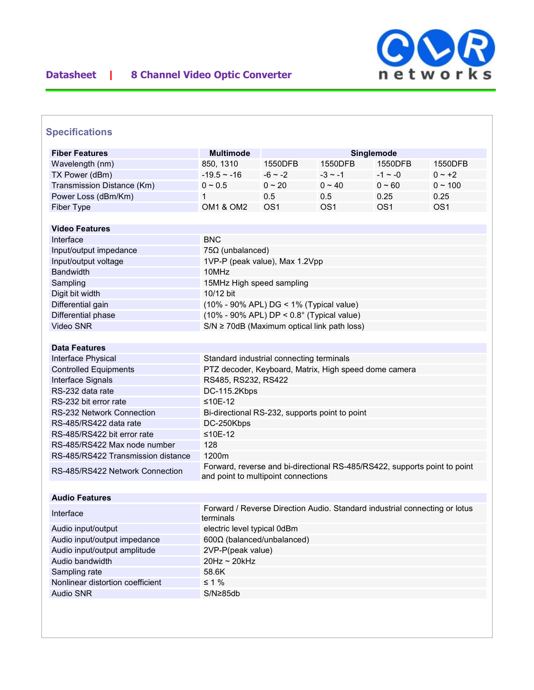

## **Specifications**

| <b>Fiber Features</b>              | <b>Multimode</b><br>Singlemode                                                                                   |                 |                 |                 |                 |  |
|------------------------------------|------------------------------------------------------------------------------------------------------------------|-----------------|-----------------|-----------------|-----------------|--|
| Wavelength (nm)                    | 850, 1310                                                                                                        | 1550DFB         | 1550DFB         | 1550DFB         | 1550DFB         |  |
| TX Power (dBm)                     | $-19.5 - 16$                                                                                                     | $-6 - 2$        | $-3 \sim -1$    | $-1 \sim -0$    | $0 - +2$        |  |
| Transmission Distance (Km)         | $0 \sim 0.5$                                                                                                     | $0 \sim 20$     | $0 \sim 40$     | $0 - 60$        | $0 \sim 100$    |  |
| Power Loss (dBm/Km)                | 1                                                                                                                | 0.5             | 0.5             | 0.25            | 0.25            |  |
| Fiber Type                         | <b>OM1 &amp; OM2</b>                                                                                             | OS <sub>1</sub> | OS <sub>1</sub> | OS <sub>1</sub> | OS <sub>1</sub> |  |
|                                    |                                                                                                                  |                 |                 |                 |                 |  |
| <b>Video Features</b>              |                                                                                                                  |                 |                 |                 |                 |  |
| Interface                          | <b>BNC</b>                                                                                                       |                 |                 |                 |                 |  |
| Input/output impedance             | $75\Omega$ (unbalanced)                                                                                          |                 |                 |                 |                 |  |
| Input/output voltage               | 1VP-P (peak value), Max 1.2Vpp                                                                                   |                 |                 |                 |                 |  |
| <b>Bandwidth</b>                   | 10MHz                                                                                                            |                 |                 |                 |                 |  |
| Sampling                           | 15MHz High speed sampling                                                                                        |                 |                 |                 |                 |  |
| Digit bit width                    | 10/12 bit                                                                                                        |                 |                 |                 |                 |  |
| Differential gain                  | (10% - 90% APL) DG < 1% (Typical value)                                                                          |                 |                 |                 |                 |  |
| Differential phase                 | $(10\% - 90\%$ APL) DP < $0.8^{\circ}$ (Typical value)                                                           |                 |                 |                 |                 |  |
| Video SNR                          | $S/N \ge 70$ dB (Maximum optical link path loss)                                                                 |                 |                 |                 |                 |  |
|                                    |                                                                                                                  |                 |                 |                 |                 |  |
| <b>Data Features</b>               |                                                                                                                  |                 |                 |                 |                 |  |
| Interface Physical                 | Standard industrial connecting terminals                                                                         |                 |                 |                 |                 |  |
| <b>Controlled Equipments</b>       | PTZ decoder, Keyboard, Matrix, High speed dome camera                                                            |                 |                 |                 |                 |  |
| Interface Signals                  | RS485, RS232, RS422                                                                                              |                 |                 |                 |                 |  |
| RS-232 data rate                   | DC-115.2Kbps                                                                                                     |                 |                 |                 |                 |  |
| RS-232 bit error rate              | $≤10E-12$                                                                                                        |                 |                 |                 |                 |  |
| <b>RS-232 Network Connection</b>   | Bi-directional RS-232, supports point to point                                                                   |                 |                 |                 |                 |  |
| RS-485/RS422 data rate             | DC-250Kbps                                                                                                       |                 |                 |                 |                 |  |
| RS-485/RS422 bit error rate        | $≤10E-12$                                                                                                        |                 |                 |                 |                 |  |
| RS-485/RS422 Max node number       | 128                                                                                                              |                 |                 |                 |                 |  |
| RS-485/RS422 Transmission distance | 1200m                                                                                                            |                 |                 |                 |                 |  |
| RS-485/RS422 Network Connection    | Forward, reverse and bi-directional RS-485/RS422, supports point to point<br>and point to multipoint connections |                 |                 |                 |                 |  |
|                                    |                                                                                                                  |                 |                 |                 |                 |  |
| <b>Audio Features</b>              |                                                                                                                  |                 |                 |                 |                 |  |
|                                    |                                                                                                                  |                 |                 |                 |                 |  |
| Interface                          | Forward / Reverse Direction Audio. Standard industrial connecting or lotus<br>terminals                          |                 |                 |                 |                 |  |
| Audio input/output                 | electric level typical 0dBm                                                                                      |                 |                 |                 |                 |  |
| Audio input/output impedance       | 600Ω (balanced/unbalanced)                                                                                       |                 |                 |                 |                 |  |
| Audio input/output amplitude       | 2VP-P(peak value)                                                                                                |                 |                 |                 |                 |  |
| Audio bandwidth                    | 20Hz ~ 20kHz                                                                                                     |                 |                 |                 |                 |  |
| Sampling rate                      | 58.6K                                                                                                            |                 |                 |                 |                 |  |
| Nonlinear distortion coefficient   | $\leq 1\%$                                                                                                       |                 |                 |                 |                 |  |
| <b>Audio SNR</b>                   | S/N≥85db                                                                                                         |                 |                 |                 |                 |  |
|                                    |                                                                                                                  |                 |                 |                 |                 |  |